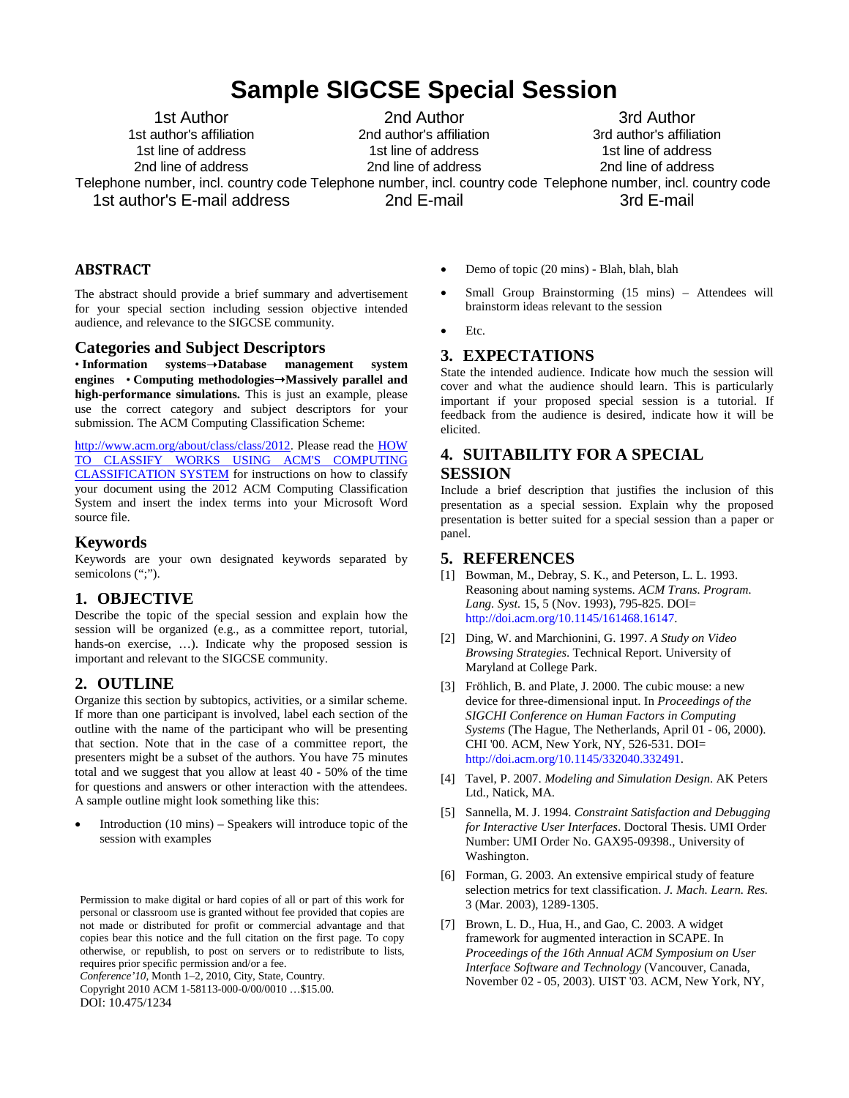## **Sample SIGCSE Special Session**

1st Author 1st author's affiliation 1st line of address 2nd line of address

2nd Author 2nd author's affiliation 1st line of address 2nd line of address

Telephone number, incl. country code Telephone number, incl. country code Telephone number, incl. country code 3rd Author 3rd author's affiliation 1st line of address 2nd line of address 3rd E-mail

1st author's E-mail address

2nd E-mail

#### **ABSTRACT**

The abstract should provide a brief summary and advertisement for your special section including session objective intended audience, and relevance to the SIGCSE community.

#### **Categories and Subject Descriptors**

• **Information systems**➝**Database management system engines** • **Computing methodologies**➝**Massively parallel and high-performance simulations.** This is just an example, please use the correct category and subject descriptors for your submission*.* The ACM Computing Classification Scheme:

[http://www.acm.org/about/class/class/2012.](http://www.acm.org/about/class/class/2012) Please read the HOW TO CLASSIFY WORKS USING ACM'S COMPUTING CLASSIFICATION SYSTEM for instructions on how to classify your document using the 2012 ACM Computing Classification System and insert the index terms into your Microsoft Word source file.

#### **Keywords**

Keywords are your own designated keywords separated by semicolons (";").

#### **1. OBJECTIVE**

Describe the topic of the special session and explain how the session will be organized (e.g., as a committee report, tutorial, hands-on exercise, ...). Indicate why the proposed session is important and relevant to the SIGCSE community.

#### **2. OUTLINE**

Organize this section by subtopics, activities, or a similar scheme. If more than one participant is involved, label each section of the outline with the name of the participant who will be presenting that section. Note that in the case of a committee report, the presenters might be a subset of the authors. You have 75 minutes total and we suggest that you allow at least 40 - 50% of the time for questions and answers or other interaction with the attendees. A sample outline might look something like this:

• Introduction (10 mins) – Speakers will introduce topic of the session with examples

Permission to make digital or hard copies of all or part of this work for personal or classroom use is granted without fee provided that copies are not made or distributed for profit or commercial advantage and that copies bear this notice and the full citation on the first page. To copy otherwise, or republish, to post on servers or to redistribute to lists, requires prior specific permission and/or a fee.

*Conference'10*, Month 1–2, 2010, City, State, Country.

Copyright 2010 ACM 1-58113-000-0/00/0010 …\$15.00. DOI: 10.475/1234

- Demo of topic (20 mins) Blah, blah, blah
- Small Group Brainstorming (15 mins) Attendees will brainstorm ideas relevant to the session
- Etc.

## **3. EXPECTATIONS**

State the intended audience. Indicate how much the session will cover and what the audience should learn. This is particularly important if your proposed special session is a tutorial. If feedback from the audience is desired, indicate how it will be elicited.

## **4. SUITABILITY FOR A SPECIAL SESSION**

Include a brief description that justifies the inclusion of this presentation as a special session. Explain why the proposed presentation is better suited for a special session than a paper or panel.

#### **5. REFERENCES**

- [1] Bowman, M., Debray, S. K., and Peterson, L. L. 1993. Reasoning about naming systems. *ACM Trans. Program. Lang. Syst.* 15, 5 (Nov. 1993), 795-825. DOI= [http://doi.acm.org/10.1145/161468.16147.](http://doi.acm.org/10.1145/161468.16147)
- [2] Ding, W. and Marchionini, G. 1997. *A Study on Video Browsing Strategies*. Technical Report. University of Maryland at College Park.
- [3] Fröhlich, B. and Plate, J. 2000. The cubic mouse: a new device for three-dimensional input. In *Proceedings of the SIGCHI Conference on Human Factors in Computing Systems* (The Hague, The Netherlands, April 01 - 06, 2000). CHI '00. ACM, New York, NY, 526-531. DOI= [http://doi.acm.org/10.1145/332040.332491.](http://doi.acm.org/10.1145/332040.332491)
- [4] Tavel, P. 2007. *Modeling and Simulation Design*. AK Peters Ltd., Natick, MA.
- [5] Sannella, M. J. 1994. *Constraint Satisfaction and Debugging for Interactive User Interfaces*. Doctoral Thesis. UMI Order Number: UMI Order No. GAX95-09398., University of Washington.
- [6] Forman, G. 2003. An extensive empirical study of feature selection metrics for text classification. *J. Mach. Learn. Res.* 3 (Mar. 2003), 1289-1305.
- [7] Brown, L. D., Hua, H., and Gao, C. 2003. A widget framework for augmented interaction in SCAPE. In *Proceedings of the 16th Annual ACM Symposium on User Interface Software and Technology* (Vancouver, Canada, November 02 - 05, 2003). UIST '03. ACM, New York, NY,